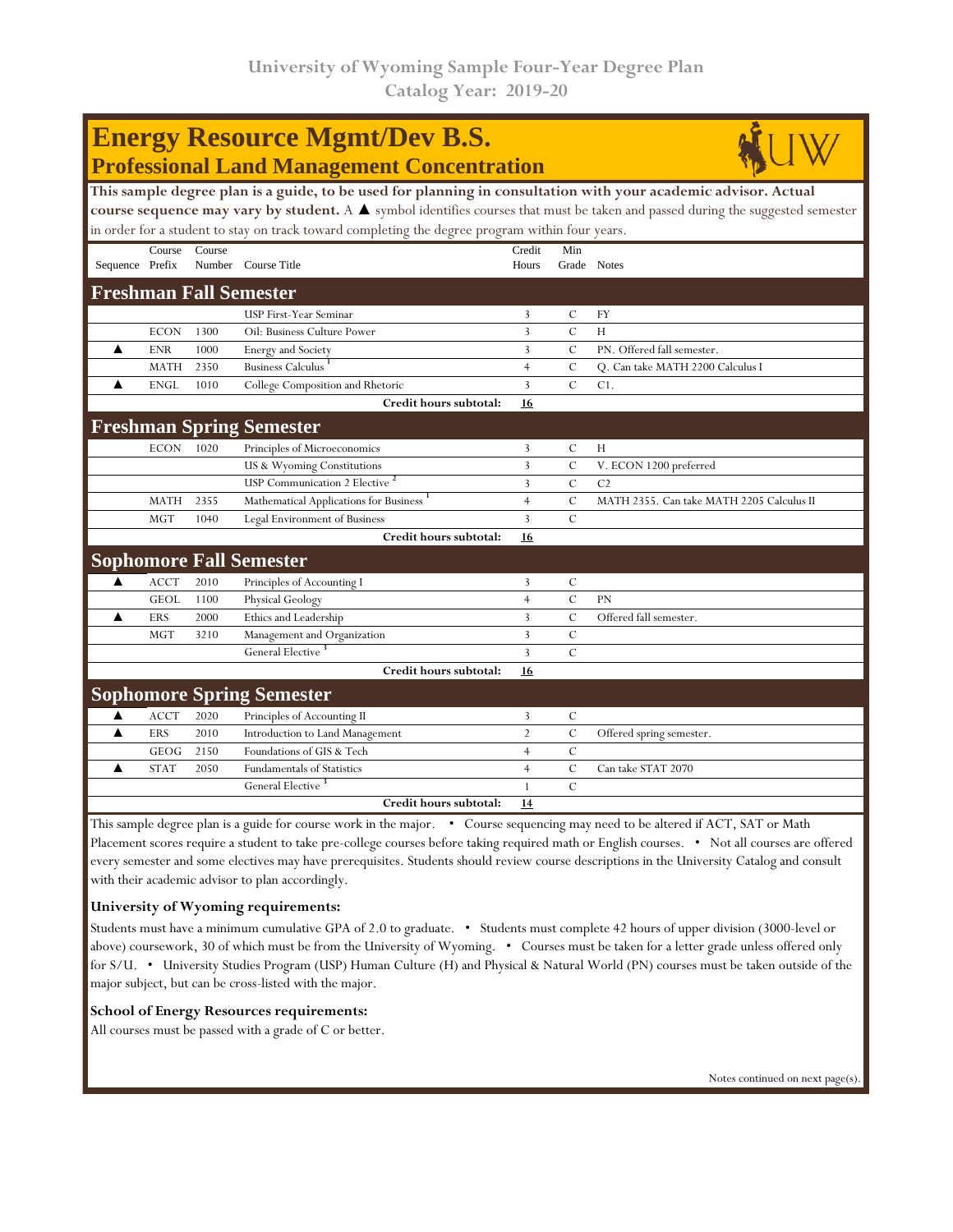| <b>Energy Resource Mgmt/Dev B.S.</b>                                                                                           |             |        |                                           |                |                |                                           |  |  |  |  |  |
|--------------------------------------------------------------------------------------------------------------------------------|-------------|--------|-------------------------------------------|----------------|----------------|-------------------------------------------|--|--|--|--|--|
| <b>Professional Land Management Concentration</b>                                                                              |             |        |                                           |                |                |                                           |  |  |  |  |  |
| This sample degree plan is a guide, to be used for planning in consultation with your academic advisor. Actual                 |             |        |                                           |                |                |                                           |  |  |  |  |  |
| course sequence may vary by student. A ▲ symbol identifies courses that must be taken and passed during the suggested semester |             |        |                                           |                |                |                                           |  |  |  |  |  |
| in order for a student to stay on track toward completing the degree program within four years.                                |             |        |                                           |                |                |                                           |  |  |  |  |  |
|                                                                                                                                | Course      | Course |                                           | Credit         | Min            |                                           |  |  |  |  |  |
| Sequence Prefix                                                                                                                |             |        | Number Course Title                       | Hours          |                | Grade Notes                               |  |  |  |  |  |
| <b>Freshman Fall Semester</b>                                                                                                  |             |        |                                           |                |                |                                           |  |  |  |  |  |
|                                                                                                                                |             |        | <b>USP First-Year Seminar</b>             | 3              | $\mathcal{C}$  | <b>FY</b>                                 |  |  |  |  |  |
|                                                                                                                                | <b>ECON</b> | 1300   | Oil: Business Culture Power               | 3              | $\overline{C}$ | H                                         |  |  |  |  |  |
| ▲                                                                                                                              | <b>ENR</b>  | 1000   | Energy and Society                        | 3              | $\mathcal{C}$  | PN. Offered fall semester.                |  |  |  |  |  |
|                                                                                                                                | <b>MATH</b> | 2350   | Business Calculus                         | $\overline{4}$ | $\mathcal{C}$  | O. Can take MATH 2200 Calculus I          |  |  |  |  |  |
| ▲                                                                                                                              | <b>ENGL</b> | 1010   | College Composition and Rhetoric          | 3              | $\mathcal{C}$  | C1.                                       |  |  |  |  |  |
|                                                                                                                                |             |        | Credit hours subtotal:                    | 16             |                |                                           |  |  |  |  |  |
| <b>Freshman Spring Semester</b>                                                                                                |             |        |                                           |                |                |                                           |  |  |  |  |  |
|                                                                                                                                | <b>ECON</b> | 1020   | Principles of Microeconomics              | 3              | C              | H                                         |  |  |  |  |  |
|                                                                                                                                |             |        | US & Wyoming Constitutions                | 3              | $\mathcal{C}$  | V. ECON 1200 preferred                    |  |  |  |  |  |
|                                                                                                                                |             |        | USP Communication 2 Elective <sup>2</sup> | 3              | $\overline{C}$ | C <sub>2</sub>                            |  |  |  |  |  |
|                                                                                                                                | <b>MATH</b> | 2355   | Mathematical Applications for Business    | $\overline{4}$ | $\mathcal{C}$  | MATH 2355. Can take MATH 2205 Calculus II |  |  |  |  |  |
|                                                                                                                                | <b>MGT</b>  | 1040   | Legal Environment of Business             | 3              | $\overline{C}$ |                                           |  |  |  |  |  |
|                                                                                                                                |             |        | Credit hours subtotal:                    | 16             |                |                                           |  |  |  |  |  |
| <b>Sophomore Fall Semester</b>                                                                                                 |             |        |                                           |                |                |                                           |  |  |  |  |  |
| ▲                                                                                                                              | <b>ACCT</b> | 2010   | Principles of Accounting I                | 3              | $\mathcal{C}$  |                                           |  |  |  |  |  |
|                                                                                                                                | <b>GEOL</b> | 1100   | Physical Geology                          | $\overline{4}$ | $\mathcal{C}$  | <b>PN</b>                                 |  |  |  |  |  |
| ▲                                                                                                                              | ERS         | 2000   | Ethics and Leadership                     | 3              | $\mathcal{C}$  | Offered fall semester.                    |  |  |  |  |  |
|                                                                                                                                | <b>MGT</b>  | 3210   | Management and Organization               | 3              | $\mathcal{C}$  |                                           |  |  |  |  |  |
|                                                                                                                                |             |        | General Elective <sup>3</sup>             | 3              | $\mathcal{C}$  |                                           |  |  |  |  |  |
|                                                                                                                                |             |        | Credit hours subtotal:                    | 16             |                |                                           |  |  |  |  |  |
| <b>Sophomore Spring Semester</b>                                                                                               |             |        |                                           |                |                |                                           |  |  |  |  |  |
| ▲                                                                                                                              | <b>ACCT</b> | 2020   | Principles of Accounting II               | 3              | $\mathcal{C}$  |                                           |  |  |  |  |  |
| ▲                                                                                                                              | <b>ERS</b>  | 2010   | Introduction to Land Management           | $\overline{2}$ | $\mathcal{C}$  | Offered spring semester.                  |  |  |  |  |  |
|                                                                                                                                | <b>GEOG</b> | 2150   | Foundations of GIS & Tech                 | $\overline{4}$ | $\mathcal{C}$  |                                           |  |  |  |  |  |
| ▲                                                                                                                              | <b>STAT</b> | 2050   | <b>Fundamentals of Statistics</b>         | $\overline{4}$ | $\mathcal{C}$  | Can take STAT 2070                        |  |  |  |  |  |
|                                                                                                                                |             |        | General Elective <sup>3</sup>             | $\mathbf{1}$   | $\overline{C}$ |                                           |  |  |  |  |  |
|                                                                                                                                |             |        | Credit hours subtotal:                    | 14             |                |                                           |  |  |  |  |  |

This sample degree plan is a guide for course work in the major. • Course sequencing may need to be altered if ACT, SAT or Math Placement scores require a student to take pre-college courses before taking required math or English courses. • Not all courses are offered every semester and some electives may have prerequisites. Students should review course descriptions in the University Catalog and consult with their academic advisor to plan accordingly.

## **University of Wyoming requirements:**

Students must have a minimum cumulative GPA of 2.0 to graduate. • Students must complete 42 hours of upper division (3000-level or above) coursework, 30 of which must be from the University of Wyoming. • Courses must be taken for a letter grade unless offered only for S/U. • University Studies Program (USP) Human Culture (H) and Physical & Natural World (PN) courses must be taken outside of the major subject, but can be cross-listed with the major.

## **School of Energy Resources requirements:**

All courses must be passed with a grade of C or better.

Notes continued on next page(s).